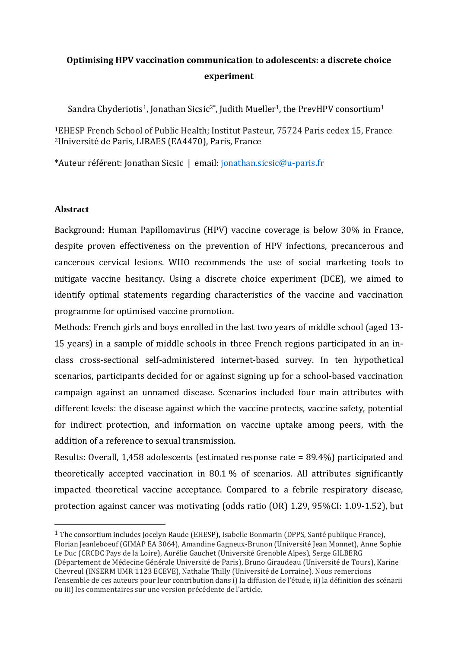## **Optimising HPV vaccination communication to adolescents: a discrete choice experiment**

Sandra Chyderiotis<sup>1</sup>, Jonathan Sicsic<sup>2\*</sup>, Judith Mueller<sup>1</sup>, the PrevHPV consortium<sup>1</sup>

**<sup>1</sup>**EHESP French School of Public Health; Institut Pasteur, 75724 Paris cedex 15, France <sup>2</sup>Université de Paris, LIRAES (EA4470), Paris, France

\*Auteur référent: Jonathan Sicsic | email: [jonathan.sicsic@u-paris.fr](mailto:jonathan.sicsic@u-paris.fr)

## **Abstract**

 $\overline{a}$ 

Background: Human Papillomavirus (HPV) vaccine coverage is below 30% in France, despite proven effectiveness on the prevention of HPV infections, precancerous and cancerous cervical lesions. WHO recommends the use of social marketing tools to mitigate vaccine hesitancy. Using a discrete choice experiment (DCE), we aimed to identify optimal statements regarding characteristics of the vaccine and vaccination programme for optimised vaccine promotion.

Methods: French girls and boys enrolled in the last two years of middle school (aged 13- 15 years) in a sample of middle schools in three French regions participated in an inclass cross-sectional self-administered internet-based survey. In ten hypothetical scenarios, participants decided for or against signing up for a school-based vaccination campaign against an unnamed disease. Scenarios included four main attributes with different levels: the disease against which the vaccine protects, vaccine safety, potential for indirect protection, and information on vaccine uptake among peers, with the addition of a reference to sexual transmission.

Results: Overall, 1,458 adolescents (estimated response rate = 89.4%) participated and theoretically accepted vaccination in 80.1 % of scenarios. All attributes significantly impacted theoretical vaccine acceptance. Compared to a febrile respiratory disease, protection against cancer was motivating (odds ratio (OR) 1.29, 95%CI: 1.09-1.52), but

1 The consortium includes Jocelyn Raude (EHESP), Isabelle Bonmarin (DPPS, Santé publique France), Florian Jeanleboeuf (GIMAP EA 3064), Amandine Gagneux-Brunon (Université Jean Monnet), Anne Sophie

Le Duc (CRCDC Pays de la Loire), Aurélie Gauchet (Université Grenoble Alpes), Serge GILBERG (Département de Médecine Générale Université de Paris), Bruno Giraudeau (Université de Tours), Karine Chevreul (INSERM UMR 1123 ECEVE), Nathalie Thilly (Université de Lorraine). Nous remercions l'ensemble de ces auteurs pour leur contribution dans i) la diffusion de l'étude, ii) la définition des scénarii ou iii) les commentaires sur une version précédente de l'article.